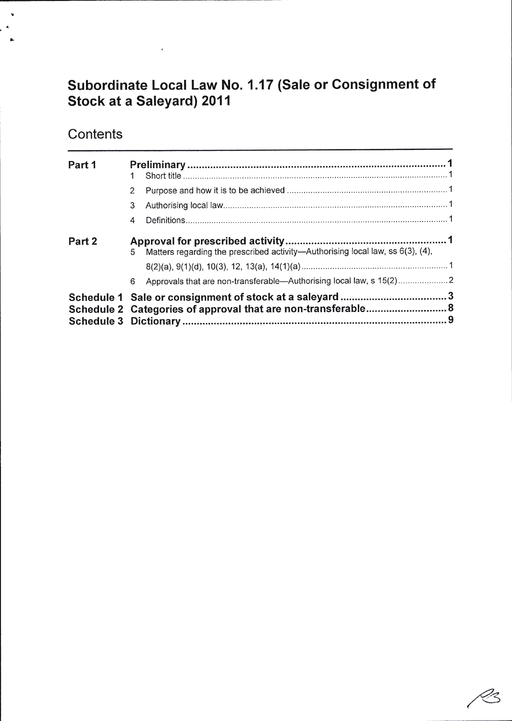# Subordinate Local Law No. 1.17 (Sale or Gonsignment of Stock at a Saleyard) 2011

# **Contents**

 $\chi$ 

|        | Schedule 2 Categories of approval that are non-transferable 8 |                                                                                |  |  |
|--------|---------------------------------------------------------------|--------------------------------------------------------------------------------|--|--|
|        | 6                                                             | Approvals that are non-transferable-Authorising local law, s 15(2)2            |  |  |
|        |                                                               |                                                                                |  |  |
| Part 2 | 5                                                             | Matters regarding the prescribed activity-Authorising local law, ss 6(3), (4), |  |  |
|        | 4                                                             |                                                                                |  |  |
|        | 3                                                             |                                                                                |  |  |
|        | $\overline{2}$                                                |                                                                                |  |  |
| Part 1 |                                                               |                                                                                |  |  |
|        |                                                               |                                                                                |  |  |

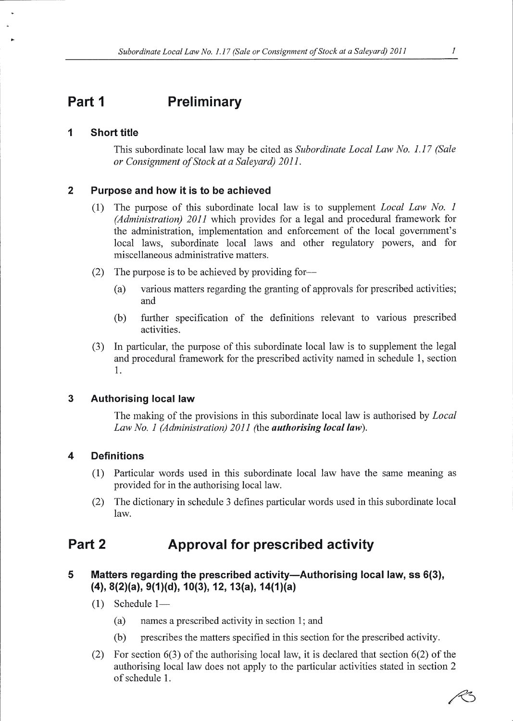### Part <sup>1</sup> **Preliminary**

#### $\mathbf 1$ Short title

This subordinate local law may be cited as Subordinate Local Law No. 1.17 (Sale or Consignment of Stock at a Saleyard) 201I.

#### $\overline{2}$ Purpose and how it is to be achieved

- (1) The purpose of this subordinate local law is to supplement Local Law No. I (Administration) 20II which provides for a legal and procedural framework for the administration, implementation and enforcement of the local government's local laws, subordinate local laws and other regulatory powers, and for miscellaneous administrative matters.
- (2) The purpose is to be achieved by providing for-
	- (a) various matters regarding the granting of approvals for prescribed activities; and
	- (b) further specification of the definitions relevant to various prescribed activities.
- (3) In particular, the purpose of this subordinate local law is to supplement the legal and procedural framework for the prescribed activity named in schedule l, section 1.

### $\overline{3}$ Authorising local law

The making of the provisions in this subordinate local law is authorised by *Local* Law No. 1 (Administration) 2011 (the **authorising local law**).

#### $\overline{\mathbf{4}}$ **Definitions**

- (l) Particular words used in this subordinate local law have the same meaning as provided for in the authorising local law.
- (2) The dictionary in schedule 3 defines particular words used in this subordinate local law.

### Part 2 Approval for prescribed activity

### 5 Matters regarding the prescribed activity--Authorising local law, ss 6(3),  $(4)$ , 8(2)(a), 9(1)(d), 10(3), 12, 13(a), 14(1)(a)

- $(1)$  Schedule 1—
	- (a) names a prescribed activity in section 1; and
	- (b) prescribes the matters specified in this section for the prescribed activity.
- (2) For section 6(3) of the authorising local law, it is declared that section 6(2) of the authorising local law does not apply to the particular activities stated in section 2 of schedule 1.

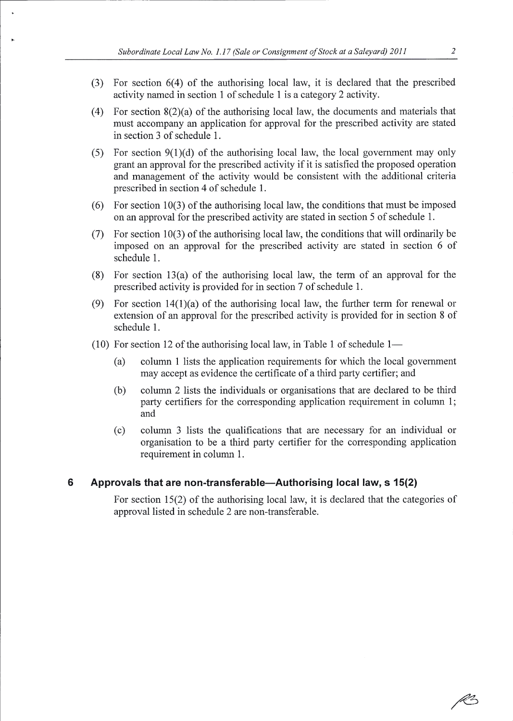- $(3)$  For section  $6(4)$  of the authorising local law, it is declared that the prescribed activity named in section 1 of schedule 1 is a category 2 activity.
- (4) For section 8(2)(a) of the authorising local law, the documents and materials that must accompany an application for approval for the prescribed activity are stated in section 3 of schedule 1.
- (5) For section  $9(1)(d)$  of the authorising local law, the local government may only grant an approval for the prescribed activity if it is satisfied the proposed operation and management of the activity would be consistent with the additional criteria prescribed in section 4 of schedule 1.
- (6) For section 10(3) of the authorising local law, the conditions that must be imposed on an approval for the prescribed activity are stated in section 5 of schedule 1.
- (7) For section 10(3) of the authorising local law, the conditions that will ordinarily be imposed on an approval for the prescribed activity are stated in section 6 of schedule l.
- (8) For section 13(a) of the authorising local law, the term of an approval for the prescribed activity is provided for in section 7 of schedule 1.
- (9) For section  $14(1)(a)$  of the authorising local law, the further term for renewal or extension of an approval for the prescribed activity is provided for in section 8 of schedule 1.
- (10) For section 12 of the authorising local law, in Table 1 of schedule  $1-$ 
	- (a) column I lists the application requirements for which the local government may accept as evidence the certificate of a third party certifier; and
	- (b) column 2 lists the individuals or organisations that are declared to be third party certifiers for the corresponding application requirement in column 1; and
	- (c) column 3 lists the qualifications that are necessary for an individual or organisation to be a third party certifier for the corresponding application requirement in column 1.

#### 6 Approvals that are non-transferable-Authorising local law, s 15(2)

For section 15(2) of the authorising local law, it is declared that the categories of approval listed in schedule 2 are non-transferable.

R2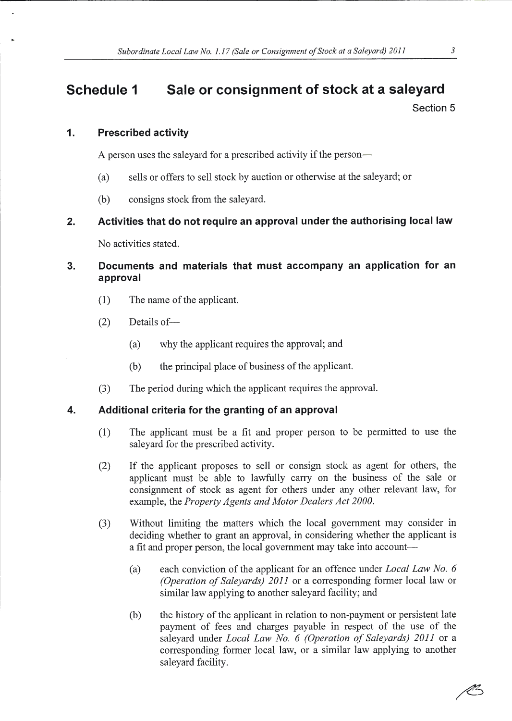# Schedule 1 Sale or consignment of stock at a saleyard

Section 5

## 1. Prescribed activity

A person uses the saleyard for a prescribed activity if the person-

- (a) sells or offers to sell stock by auction or otherwise at the saleyard; or
- (b) consigns stock from the saleyard.

## 2. Activities that do not require an approval under the authorising local law

No activities stated.

## 3. Documents and materials that must accompany an application for an approval

- (l) The name of the applicant.
- $(2)$  Details of
	- (a) why the applicant requires the approval; and
	- (b) the principal place of business of the applicant.
- (3) The period during which the applicant requires the approval.

## 4. Additional criteria for the granting of an approval

- (l) The applicant must be a fit and proper person to be permitted to use the saleyard for the prescribed activity.
- (2) If the applicant proposes to sell or consign stock as agent for others, the applicant must be able to lawfully carry on the business of the sale or consignment of stock as agent for others under any other relevant law, for example, the Property Agents and Motor Dealers Act 2000.
- (3) Without limiting the matters which the local government may consider in deciding whether to grant an approval, in considering whether the applicant is a fit and proper person, the local government may take into account-
	- (a) each conviction of the applicant for an offence under Local Law No. <sup>6</sup> (Operation of Saleyards) 201I or a corresponding former local law or similar law applying to another saleyard facility; and
	- (b) the history of the applicant in relation to non-payment or persistent late payment of fees and charges payable in respect of the use of the saleyard under Local Law No. 6 (Operation of Saleyards) 2011 or a corresponding former local law, or a similar law applying to another salevard facilitv.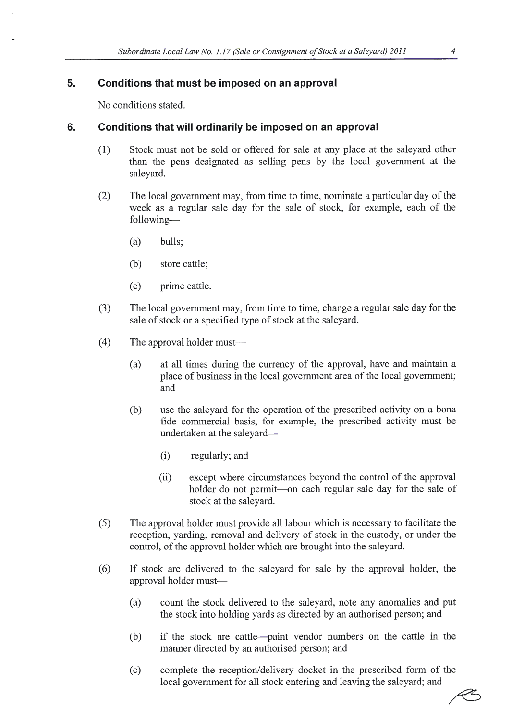#### 5. Conditions that must be imposed on an approval

No conditions stated.

### 6. Conditions that will ordinarily be imposed on an approval

- (1) Stock must not be sold or offered for sale at any place at the saleyard other than the pens designated as selling pens by the local government at the saleyard.
- (2) The local govemment may, from time to time, nominate a particular day of the week as a regular sale day for the sale of stock, for example, each of the following-
	- (a) bulls;
	- (b) store cattle;
	- (c) prime cattle.
- The local govemment may, from time to time, change a regular sale day for the sale of stock or a specified type of stock at the saleyard. (3)
- The approval holder must-(4)
	- (a) at all times during the currency of the approval, have and maintain <sup>a</sup> place of business in the local government area of the local government; and
	- (b) use the saleyard for the operation of the prescribed activity on a bona fide commercial basis, for example, the prescribed activity must be undertaken at the saleyard-
		- (i) regularly; and
		- (ii) except where circumstances beyond the control of the approval holder do not permit-on each regular sale day for the sale of stock at the saleyard.
- The approval holder must provide all labour which is necessary to facilitate the reception, yarding, removal and delivery of stock in the custody, or under the control, of the approval holder which are brought into the saleyard.  $(5)$
- If stock are delivered to the saleyard for sale by the approval holder, the approval holder must- (6)
	- (a) count the stock delivered to the saleyard, note any anomalies and put the stock into holding yards as directed by an authorised person; and
	- (b) if the stock are cattle-paint vendor numbers on the cattle in the manner directed by an authorised person; and
	- (c) complete the reception/delivery docket in the prescribed form of the local government for all stock entering and leaving the saleyard; and

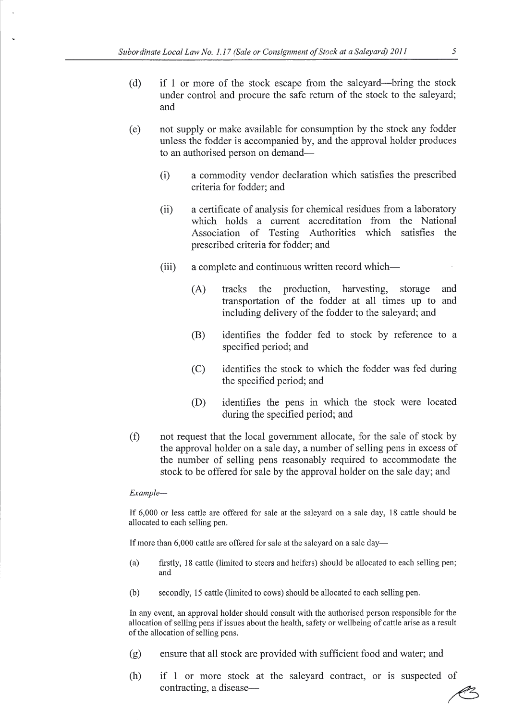- (d) if 1 or more of the stock escape from the saleyard-bring the stock under control and procure the safe return of the stock to the saleyard; and
- (e) not supply or make available for consumption by the stock any fodder unless the fodder is accompanied by, and the approval holder produces to an authorised person on demand-
	- (i) a commodity vendor declaration which satisfies the prescribed criteria for fodder; and
	- (ii) a certificate of analysis for chemical residues from a laboratory which holds a current accreditation from the National Association of Testing Authorities which satisfies the prescribed criteria for fodder; and
	- (iii) a complete and continuous written record which-
		- (A) tracks the production, harvesting, storage and transportation of the fodder at all times up to and including delivery of the fodder to the saleyard; and
		- (B) identifies the fodder fed to stock by reference to <sup>a</sup> specified period; and
		- (C) identifies the stock to which the fodder was fed during the specified period; and
		- (D) identifies the pens in which the stock were located during the specified period; and
- (f) not request that the local government allocate, for the sale of stock by the approval holder on a sale day, a number of selling pens in excess of the number of selling pens reasonably required to accommodate the stock to be offered for sale by the approval holder on the sale day; and

### Example-

If 6,000 or less cattle are offered for sale at the saleyard on a sale day, 18 cattle should be allocated to each selling pen.

If more than 6,000 cattle are offered for sale at the saleyard on a sale day-

- (a) firstly, l8 caftle (limited to steers and heifers) should be allocated to each selling pen; and
- (b) secondly, 15 cattle (limited to cows) should be allocated to each selling pen.

ln any event, an approval holder should consult with the authorised person responsible for the allocation of selling pens if issues about the health, safety or wellbeing of cattle arise as a result of the allocation of selling pens.

- ensure that all stock are provided with sufficient food and water; and (g)
- (h) if 1 or more stock at the saleyard contract, or is suspected of contracting, a disease-

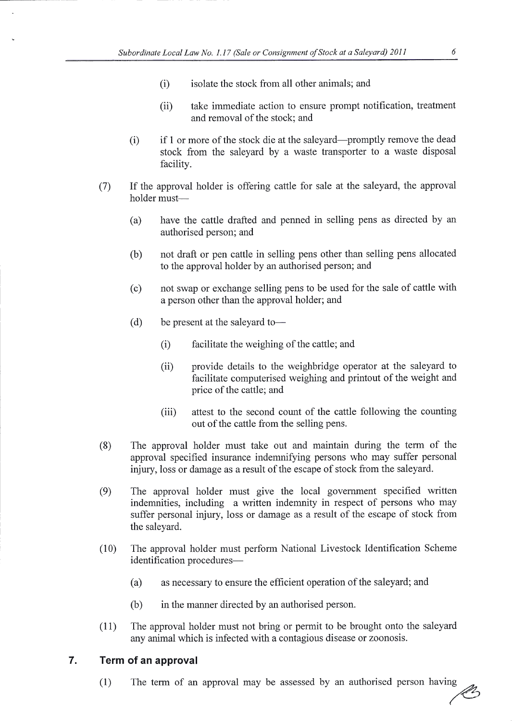- (i) isolate the stock from all other animals; and
- (ii) take immediate action to ensure prompt notification, treatment and removal of the stock; and
- (i) if I or more of the stock die at the saleyard-promptly remove the dead stock from the saleyard by a waste transporter to a waste disposal facility.
- (7) If the approval holder is offering cattle for sale at the saleyard, the approval holder must-
	- (a) have the cattle drafted and penned in selling pens as directed by an authorised person; and
	- (b) not draft or pen cattle in selling pens other than selling pens allocated to the approval holder by an authorised person; and
	- (c) not swap or exchange selling pens to be used for the sale of cattle with a person other than the approval holder; and
	- (d) be present at the saleyard to-
		- (i) facilitate the weighing of the cattle; and
		- (ii) provide details to the weighbridge operator at the saleyard to facilitate computerised weighing and printout of the weight and price of the cattle; and
		- (iii) attest to the second count of the cattle following the counting out of the cattle from the selling pens.
- (8) The approval holder must take out and maintain during the term of the approval specified insurance indemnifying persons who may suffer personal injury, loss or damage as a result of the escape of stock from the saleyard.
- (9) The approval holder must give the local government specified written indemnities, including a written indemnity in respect of persons who may suffer personal injury, loss or damage as a result of the escape of stock from the saleyard.
- (10) The approval holder must perform National Livestock Identification Scheme identification procedures-
	- (a) as necessary to ensure the efficient operation of the saleyard; and
	- (b) in the manner directed by an authorised person.
- (11) The approval holder must not bring or permit to be brought onto the saleyard any animal which is infected with a contagious disease or zoonosis.

### 7. Term of an approval

 $(1)$  The term of an approval may be assessed by an authorised person having &, (-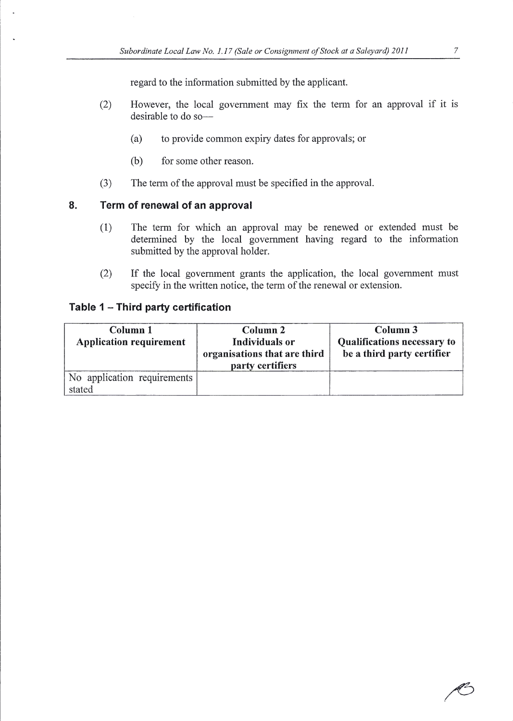regard to the information submitted by the applicant.

- However, the local government may fix the term for an approval if it is desirable to do so-(2)
	- (a) to provide common expiry dates for approvals; or
	- (b) for some other reason.
- (3) The term of the approval must be specified in the approval.

### $\mathbf{8}$ . Term of renewal of an approval

- (l) The term for which an approval may be renewed or extended must be determined by the local government having regard to the information submitted by the approval holder.
- If the local govemment grants the application, the local govemment must specify in the written notice, the term of the renewal or extension. (2)

## Table 1 - Third party certification

| Column 1                       | Column 2                     | Column 3                           |
|--------------------------------|------------------------------|------------------------------------|
| <b>Application requirement</b> | Individuals or               | <b>Qualifications necessary to</b> |
|                                | organisations that are third | be a third party certifier         |
|                                | party certifiers             |                                    |
| No application requirements    |                              |                                    |
| stated                         |                              |                                    |

 $\boldsymbol{7}$